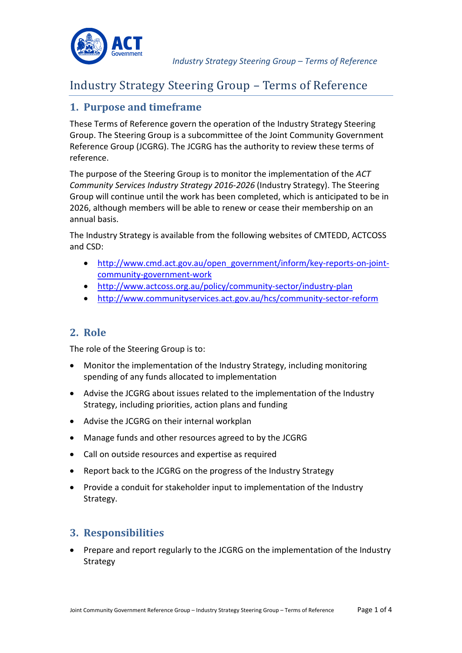

### **1. Purpose and timeframe**

These Terms of Reference govern the operation of the Industry Strategy Steering Group. The Steering Group is a subcommittee of the Joint Community Government Reference Group (JCGRG). The JCGRG has the authority to review these terms of reference.

The purpose of the Steering Group is to monitor the implementation of the *ACT Community Services Industry Strategy 2016-2026* (Industry Strategy). The Steering Group will continue until the work has been completed, which is anticipated to be in 2026, although members will be able to renew or cease their membership on an annual basis.

The Industry Strategy is available from the following websites of CMTEDD, ACTCOSS and CSD:

- [http://www.cmd.act.gov.au/open\\_government/inform/key-reports-on-joint](http://www.cmd.act.gov.au/open_government/inform/key-reports-on-joint-community-government-work)[community-government-work](http://www.cmd.act.gov.au/open_government/inform/key-reports-on-joint-community-government-work)
- <http://www.actcoss.org.au/policy/community-sector/industry-plan>
- <http://www.communityservices.act.gov.au/hcs/community-sector-reform>

# **2. Role**

The role of the Steering Group is to:

- Monitor the implementation of the Industry Strategy, including monitoring spending of any funds allocated to implementation
- Advise the JCGRG about issues related to the implementation of the Industry Strategy, including priorities, action plans and funding
- Advise the JCGRG on their internal workplan
- Manage funds and other resources agreed to by the JCGRG
- Call on outside resources and expertise as required
- Report back to the JCGRG on the progress of the Industry Strategy
- Provide a conduit for stakeholder input to implementation of the Industry Strategy.

# **3. Responsibilities**

• Prepare and report regularly to the JCGRG on the implementation of the Industry Strategy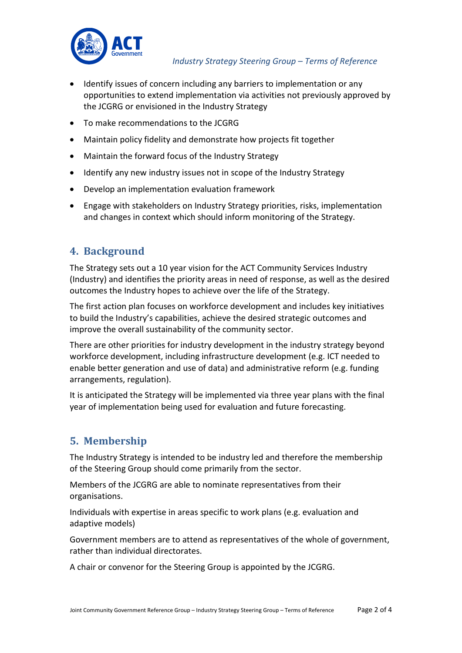

- Identify issues of concern including any barriers to implementation or any opportunities to extend implementation via activities not previously approved by the JCGRG or envisioned in the Industry Strategy
- To make recommendations to the JCGRG
- Maintain policy fidelity and demonstrate how projects fit together
- Maintain the forward focus of the Industry Strategy
- Identify any new industry issues not in scope of the Industry Strategy
- Develop an implementation evaluation framework
- Engage with stakeholders on Industry Strategy priorities, risks, implementation and changes in context which should inform monitoring of the Strategy.

#### **4. Background**

The Strategy sets out a 10 year vision for the ACT Community Services Industry (Industry) and identifies the priority areas in need of response, as well as the desired outcomes the Industry hopes to achieve over the life of the Strategy.

The first action plan focuses on workforce development and includes key initiatives to build the Industry's capabilities, achieve the desired strategic outcomes and improve the overall sustainability of the community sector.

There are other priorities for industry development in the industry strategy beyond workforce development, including infrastructure development (e.g. ICT needed to enable better generation and use of data) and administrative reform (e.g. funding arrangements, regulation).

It is anticipated the Strategy will be implemented via three year plans with the final year of implementation being used for evaluation and future forecasting.

# **5. Membership**

The Industry Strategy is intended to be industry led and therefore the membership of the Steering Group should come primarily from the sector.

Members of the JCGRG are able to nominate representatives from their organisations.

Individuals with expertise in areas specific to work plans (e.g. evaluation and adaptive models)

Government members are to attend as representatives of the whole of government, rather than individual directorates.

A chair or convenor for the Steering Group is appointed by the JCGRG.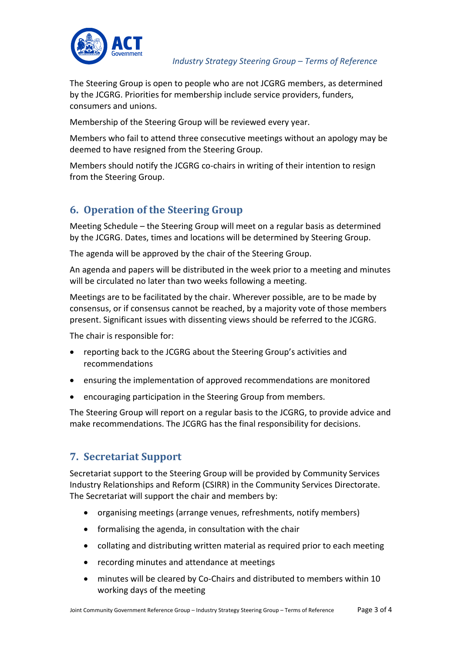

The Steering Group is open to people who are not JCGRG members, as determined by the JCGRG. Priorities for membership include service providers, funders, consumers and unions.

Membership of the Steering Group will be reviewed every year.

Members who fail to attend three consecutive meetings without an apology may be deemed to have resigned from the Steering Group.

Members should notify the JCGRG co-chairs in writing of their intention to resign from the Steering Group.

# **6. Operation of the Steering Group**

Meeting Schedule – the Steering Group will meet on a regular basis as determined by the JCGRG. Dates, times and locations will be determined by Steering Group.

The agenda will be approved by the chair of the Steering Group.

An agenda and papers will be distributed in the week prior to a meeting and minutes will be circulated no later than two weeks following a meeting.

Meetings are to be facilitated by the chair. Wherever possible, are to be made by consensus, or if consensus cannot be reached, by a majority vote of those members present. Significant issues with dissenting views should be referred to the JCGRG.

The chair is responsible for:

- reporting back to the JCGRG about the Steering Group's activities and recommendations
- ensuring the implementation of approved recommendations are monitored
- encouraging participation in the Steering Group from members.

The Steering Group will report on a regular basis to the JCGRG, to provide advice and make recommendations. The JCGRG has the final responsibility for decisions.

#### **7. Secretariat Support**

Secretariat support to the Steering Group will be provided by Community Services Industry Relationships and Reform (CSIRR) in the Community Services Directorate. The Secretariat will support the chair and members by:

- organising meetings (arrange venues, refreshments, notify members)
- formalising the agenda, in consultation with the chair
- collating and distributing written material as required prior to each meeting
- recording minutes and attendance at meetings
- minutes will be cleared by Co-Chairs and distributed to members within 10 working days of the meeting